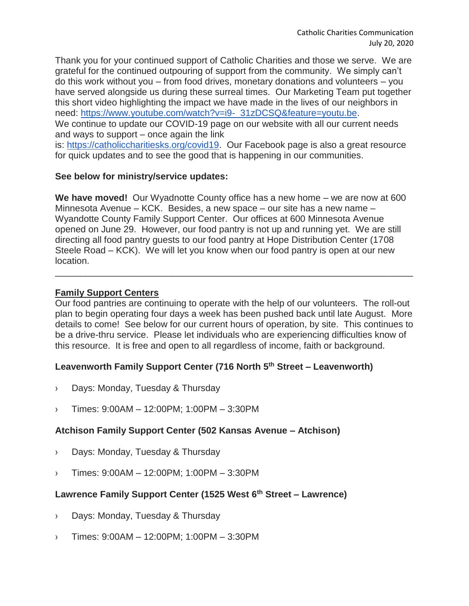Thank you for your continued support of Catholic Charities and those we serve. We are grateful for the continued outpouring of support from the community. We simply can't do this work without you – from food drives, monetary donations and volunteers – you have served alongside us during these surreal times. Our Marketing Team put together this short video highlighting the impact we have made in the lives of our neighbors in need: [https://www.youtube.com/watch?v=i9-\\_31zDCSQ&feature=youtu.be.](https://www.youtube.com/watch?v=i9-_31zDCSQ&feature=youtu.be) We continue to update our COVID-19 page on our website with all our current needs and ways to support – once again the link

is: [https://catholiccharitiesks.org/covid19.](https://catholiccharitiesks.org/covid19) Our Facebook page is also a great resource for quick updates and to see the good that is happening in our communities.

#### **See below for ministry/service updates:**

**We have moved!** Our Wyadnotte County office has a new home – we are now at 600 Minnesota Avenue – KCK. Besides, a new space – our site has a new name – Wyandotte County Family Support Center. Our offices at 600 Minnesota Avenue opened on June 29. However, our food pantry is not up and running yet. We are still directing all food pantry guests to our food pantry at Hope Distribution Center (1708 Steele Road – KCK). We will let you know when our food pantry is open at our new location.

\_\_\_\_\_\_\_\_\_\_\_\_\_\_\_\_\_\_\_\_\_\_\_\_\_\_\_\_\_\_\_\_\_\_\_\_\_\_\_\_\_\_\_\_\_\_\_\_\_\_\_\_\_\_\_\_\_\_\_\_\_\_\_\_\_\_\_\_\_\_

## **Family Support Centers**

Our food pantries are continuing to operate with the help of our volunteers. The roll-out plan to begin operating four days a week has been pushed back until late August. More details to come! See below for our current hours of operation, by site. This continues to be a drive-thru service. Please let individuals who are experiencing difficulties know of this resource. It is free and open to all regardless of income, faith or background.

# **Leavenworth Family Support Center (716 North 5th Street – Leavenworth)**

- › Days: Monday, Tuesday & Thursday
- › Times: 9:00AM 12:00PM; 1:00PM 3:30PM

#### **Atchison Family Support Center (502 Kansas Avenue – Atchison)**

- › Days: Monday, Tuesday & Thursday
- › Times: 9:00AM 12:00PM; 1:00PM 3:30PM

# **Lawrence Family Support Center (1525 West 6th Street – Lawrence)**

- › Days: Monday, Tuesday & Thursday
- › Times: 9:00AM 12:00PM; 1:00PM 3:30PM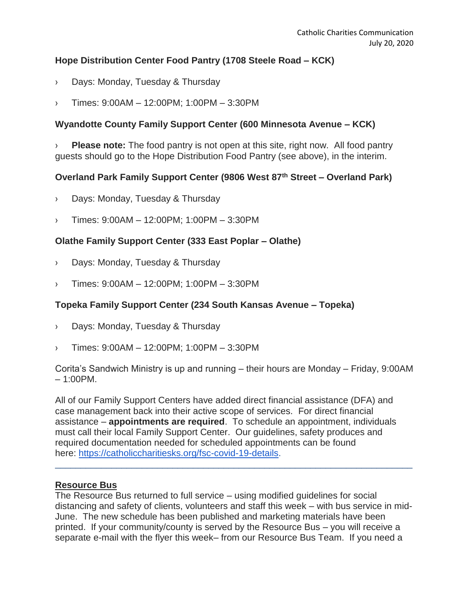## **Hope Distribution Center Food Pantry (1708 Steele Road – KCK)**

- › Days: Monday, Tuesday & Thursday
- › Times: 9:00AM 12:00PM; 1:00PM 3:30PM

## **Wyandotte County Family Support Center (600 Minnesota Avenue – KCK)**

**Please note:** The food pantry is not open at this site, right now. All food pantry guests should go to the Hope Distribution Food Pantry (see above), in the interim.

## **Overland Park Family Support Center (9806 West 87th Street – Overland Park)**

- › Days: Monday, Tuesday & Thursday
- › Times: 9:00AM 12:00PM; 1:00PM 3:30PM

## **Olathe Family Support Center (333 East Poplar – Olathe)**

- › Days: Monday, Tuesday & Thursday
- › Times: 9:00AM 12:00PM; 1:00PM 3:30PM

#### **Topeka Family Support Center (234 South Kansas Avenue – Topeka)**

- › Days: Monday, Tuesday & Thursday
- › Times: 9:00AM 12:00PM; 1:00PM 3:30PM

Corita's Sandwich Ministry is up and running – their hours are Monday – Friday, 9:00AM – 1:00PM.

All of our Family Support Centers have added direct financial assistance (DFA) and case management back into their active scope of services. For direct financial assistance – **appointments are required**. To schedule an appointment, individuals must call their local Family Support Center. Our guidelines, safety produces and required documentation needed for scheduled appointments can be found here: [https://catholiccharitiesks.org/fsc-covid-19-details.](https://catholiccharitiesks.org/fsc-covid-19-details)

#### **Resource Bus**

The Resource Bus returned to full service – using modified guidelines for social distancing and safety of clients, volunteers and staff this week – with bus service in mid-June. The new schedule has been published and marketing materials have been printed. If your community/county is served by the Resource Bus – you will receive a separate e-mail with the flyer this week– from our Resource Bus Team. If you need a

\_\_\_\_\_\_\_\_\_\_\_\_\_\_\_\_\_\_\_\_\_\_\_\_\_\_\_\_\_\_\_\_\_\_\_\_\_\_\_\_\_\_\_\_\_\_\_\_\_\_\_\_\_\_\_\_\_\_\_\_\_\_\_\_\_\_\_\_\_\_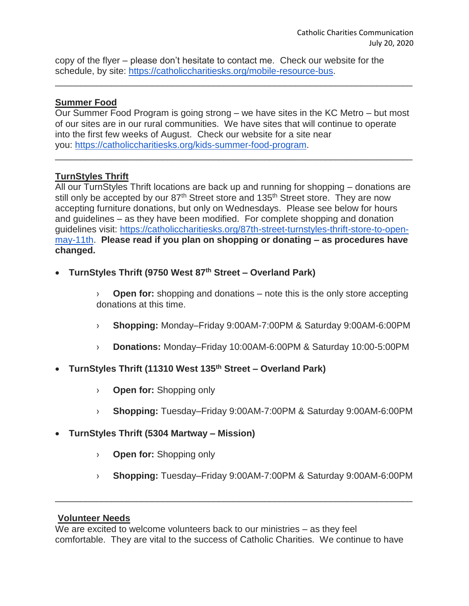copy of the flyer – please don't hesitate to contact me. Check our website for the schedule, by site: [https://catholiccharitiesks.org/mobile-resource-bus.](https://catholiccharitiesks.org/mobile-resource-bus)

#### **Summer Food**

Our Summer Food Program is going strong – we have sites in the KC Metro – but most of our sites are in our rural communities. We have sites that will continue to operate into the first few weeks of August. Check our website for a site near you: [https://catholiccharitiesks.org/kids-summer-food-program.](https://catholiccharitiesks.org/kids-summer-food-program)

\_\_\_\_\_\_\_\_\_\_\_\_\_\_\_\_\_\_\_\_\_\_\_\_\_\_\_\_\_\_\_\_\_\_\_\_\_\_\_\_\_\_\_\_\_\_\_\_\_\_\_\_\_\_\_\_\_\_\_\_\_\_\_\_\_\_\_\_\_\_

\_\_\_\_\_\_\_\_\_\_\_\_\_\_\_\_\_\_\_\_\_\_\_\_\_\_\_\_\_\_\_\_\_\_\_\_\_\_\_\_\_\_\_\_\_\_\_\_\_\_\_\_\_\_\_\_\_\_\_\_\_\_\_\_\_\_\_\_\_\_

# **TurnStyles Thrift**

All our TurnStyles Thrift locations are back up and running for shopping – donations are still only be accepted by our 87<sup>th</sup> Street store and 135<sup>th</sup> Street store. They are now accepting furniture donations, but only on Wednesdays. Please see below for hours and guidelines – as they have been modified. For complete shopping and donation guidelines visit: [https://catholiccharitiesks.org/87th-street-turnstyles-thrift-store-to-open](https://catholiccharitiesks.org/87th-street-turnstyles-thrift-store-to-open-may-11th)[may-11th.](https://catholiccharitiesks.org/87th-street-turnstyles-thrift-store-to-open-may-11th) **Please read if you plan on shopping or donating – as procedures have changed.** 

**TurnStyles Thrift (9750 West 87th Street – Overland Park)**

› **Open for:** shopping and donations – note this is the only store accepting donations at this time.

- › **Shopping:** Monday–Friday 9:00AM-7:00PM & Saturday 9:00AM-6:00PM
- › **Donations:** Monday–Friday 10:00AM-6:00PM & Saturday 10:00-5:00PM
- **TurnStyles Thrift (11310 West 135th Street – Overland Park)**
	- › **Open for:** Shopping only
	- › **Shopping:** Tuesday–Friday 9:00AM-7:00PM & Saturday 9:00AM-6:00PM
- **TurnStyles Thrift (5304 Martway – Mission)**
	- › **Open for:** Shopping only
	- › **Shopping:** Tuesday–Friday 9:00AM-7:00PM & Saturday 9:00AM-6:00PM

#### **Volunteer Needs**

We are excited to welcome volunteers back to our ministries – as they feel comfortable. They are vital to the success of Catholic Charities. We continue to have

\_\_\_\_\_\_\_\_\_\_\_\_\_\_\_\_\_\_\_\_\_\_\_\_\_\_\_\_\_\_\_\_\_\_\_\_\_\_\_\_\_\_\_\_\_\_\_\_\_\_\_\_\_\_\_\_\_\_\_\_\_\_\_\_\_\_\_\_\_\_